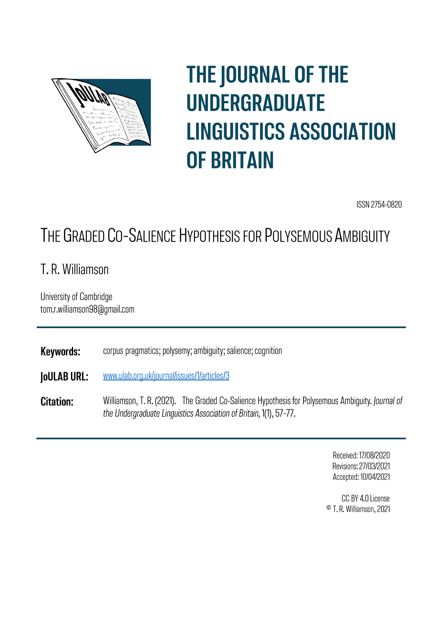

# **THE JOURNAL OF THE UNDERGRADUATE LINGUISTICS ASSOCIATION OF BRITAIN**

ISSN 2754-0820

## THE GRADED CO-SALIENCE HYPOTHESIS FOR POLYSEMOUS AMBIGUITY

T. R. Williamson

University of Cambridge tom.r.williamson98@gmail.com

**Keywords:** corpus pragmatics; polysemy; ambiguity; salience; cognition

www.ulab.org.uk/journal/issues/1/articles/3 **JoULAB URL:** 

**Citation:** Williamson, T. R. (2021). The Graded Co-Salience Hypothesis for Polysemous Ambiguity. Journal of the Undergraduate Linguistics Association of Britain, 1(1), 57-77.

> Received: 17/08/2020 Revisions: 27/03/2021 Accepted: 10/04/2021

CC BY 4.0 License <sup>©</sup> T. R. Williamson, 2021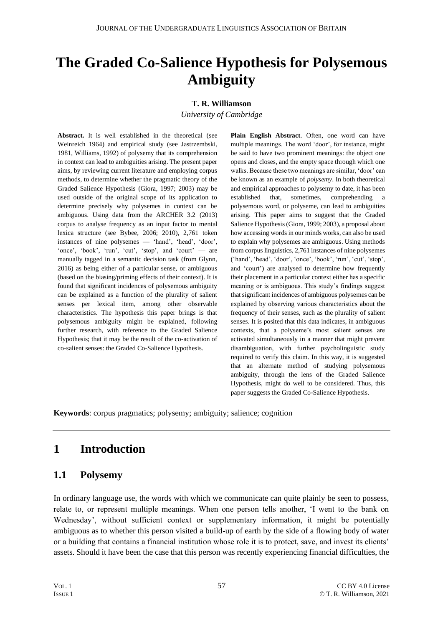## **The Graded Co-Salience Hypothesis for Polysemous Ambiguity**

#### **T. R. Williamson**

*University of Cambridge*

**Abstract.** It is well established in the theoretical (see Weinreich 1964) and empirical study (see Jastrzembski, 1981, Williams, 1992) of polysemy that its comprehension in context can lead to ambiguities arising. The present paper aims, by reviewing current literature and employing corpus methods, to determine whether the pragmatic theory of the Graded Salience Hypothesis (Giora, 1997; 2003) may be used outside of the original scope of its application to determine precisely why polysemes in context can be ambiguous. Using data from the ARCHER 3.2 (2013) corpus to analyse frequency as an input factor to mental lexica structure (see Bybee, 2006; 2010), 2,761 token instances of nine polysemes — 'hand', 'head', 'door', 'once', 'book', 'run', 'cut', 'stop', and 'court' — are manually tagged in a semantic decision task (from Glynn, 2016) as being either of a particular sense, or ambiguous (based on the biasing/priming effects of their context). It is found that significant incidences of polysemous ambiguity can be explained as a function of the plurality of salient senses per lexical item, among other observable characteristics. The hypothesis this paper brings is that polysemous ambiguity might be explained, following further research, with reference to the Graded Salience Hypothesis; that it may be the result of the co-activation of co-salient senses: the Graded Co-Salience Hypothesis.

**Plain English Abstract**. Often, one word can have multiple meanings. The word 'door', for instance, might be said to have two prominent meanings: the object one opens and closes, and the empty space through which one walks. Because these two meanings are similar, 'door' can be known as an example of *polysemy*. In both theoretical and empirical approaches to polysemy to date, it has been established that, sometimes, comprehending a polysemous word, or polyseme, can lead to ambiguities arising. This paper aims to suggest that the Graded Salience Hypothesis (Giora, 1999; 2003), a proposal about how accessing words in our minds works, can also be used to explain why polysemes are ambiguous. Using methods from corpus linguistics, 2,761 instances of nine polysemes ('hand', 'head', 'door', 'once', 'book', 'run', 'cut', 'stop', and 'court') are analysed to determine how frequently their placement in a particular context either has a specific meaning or is ambiguous. This study's findings suggest that significant incidences of ambiguous polysemes can be explained by observing various characteristics about the frequency of their senses, such as the plurality of salient senses. It is posited that this data indicates, in ambiguous contexts, that a polyseme's most salient senses are activated simultaneously in a manner that might prevent disambiguation, with further psycholinguistic study required to verify this claim. In this way, it is suggested that an alternate method of studying polysemous ambiguity, through the lens of the Graded Salience Hypothesis, might do well to be considered. Thus, this paper suggests the Graded Co-Salience Hypothesis.

**Keywords**: corpus pragmatics; polysemy; ambiguity; salience; cognition

## **1 Introduction**

#### **1.1 Polysemy**

In ordinary language use, the words with which we communicate can quite plainly be seen to possess, relate to, or represent multiple meanings. When one person tells another, 'I went to the bank on Wednesday', without sufficient context or supplementary information, it might be potentially ambiguous as to whether this person visited a build-up of earth by the side of a flowing body of water or a building that contains a financial institution whose role it is to protect, save, and invest its clients' assets. Should it have been the case that this person was recently experiencing financial difficulties, the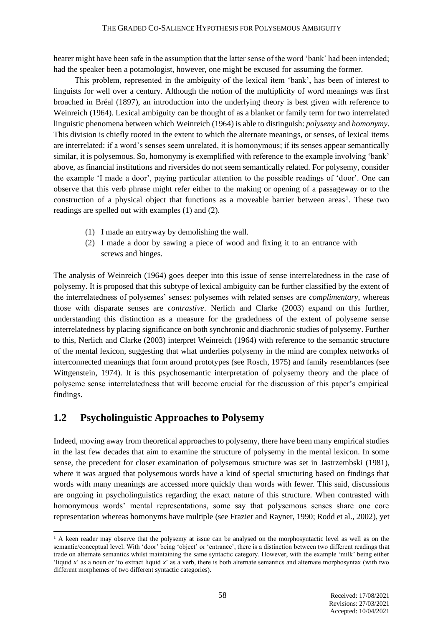hearer might have been safe in the assumption that the latter sense of the word 'bank' had been intended; had the speaker been a potamologist, however, one might be excused for assuming the former.

This problem, represented in the ambiguity of the lexical item 'bank', has been of interest to linguists for well over a century. Although the notion of the multiplicity of word meanings was first broached in Bréal (1897), an introduction into the underlying theory is best given with reference to Weinreich (1964). Lexical ambiguity can be thought of as a blanket or family term for two interrelated linguistic phenomena between which Weinreich (1964) is able to distinguish: *polysemy* and *homonymy*. This division is chiefly rooted in the extent to which the alternate meanings, or senses, of lexical items are interrelated: if a word's senses seem unrelated, it is homonymous; if its senses appear semantically similar, it is polysemous. So, homonymy is exemplified with reference to the example involving 'bank' above, as financial institutions and riversides do not seem semantically related. For polysemy, consider the example 'I made a door', paying particular attention to the possible readings of 'door'. One can observe that this verb phrase might refer either to the making or opening of a passageway or to the construction of a physical object that functions as a moveable barrier between areas<sup>1</sup>. These two readings are spelled out with examples (1) and (2).

- (1) I made an entryway by demolishing the wall.
- (2) I made a door by sawing a piece of wood and fixing it to an entrance with screws and hinges.

The analysis of Weinreich (1964) goes deeper into this issue of sense interrelatedness in the case of polysemy. It is proposed that this subtype of lexical ambiguity can be further classified by the extent of the interrelatedness of polysemes' senses: polysemes with related senses are *complimentary*, whereas those with disparate senses are *contrastive*. Nerlich and Clarke (2003) expand on this further, understanding this distinction as a measure for the gradedness of the extent of polyseme sense interrelatedness by placing significance on both synchronic and diachronic studies of polysemy. Further to this, Nerlich and Clarke (2003) interpret Weinreich (1964) with reference to the semantic structure of the mental lexicon, suggesting that what underlies polysemy in the mind are complex networks of interconnected meanings that form around prototypes (see Rosch, 1975) and family resemblances (see Wittgenstein, 1974). It is this psychosemantic interpretation of polysemy theory and the place of polyseme sense interrelatedness that will become crucial for the discussion of this paper's empirical findings.

#### **1.2 Psycholinguistic Approaches to Polysemy**

Indeed, moving away from theoretical approaches to polysemy, there have been many empirical studies in the last few decades that aim to examine the structure of polysemy in the mental lexicon. In some sense, the precedent for closer examination of polysemous structure was set in Jastrzembski (1981), where it was argued that polysemous words have a kind of special structuring based on findings that words with many meanings are accessed more quickly than words with fewer. This said, discussions are ongoing in psycholinguistics regarding the exact nature of this structure. When contrasted with homonymous words' mental representations, some say that polysemous senses share one core representation whereas homonyms have multiple (see Frazier and Rayner, 1990; Rodd et al., 2002), yet

<sup>&</sup>lt;sup>1</sup> A keen reader may observe that the polysemy at issue can be analysed on the morphosyntactic level as well as on the semantic/conceptual level. With 'door' being 'object' or 'entrance', there is a distinction between two different readings that trade on alternate semantics whilst maintaining the same syntactic category. However, with the example 'milk' being either 'liquid *x*' as a noun or 'to extract liquid *x*' as a verb, there is both alternate semantics and alternate morphosyntax (with two different morphemes of two different syntactic categories).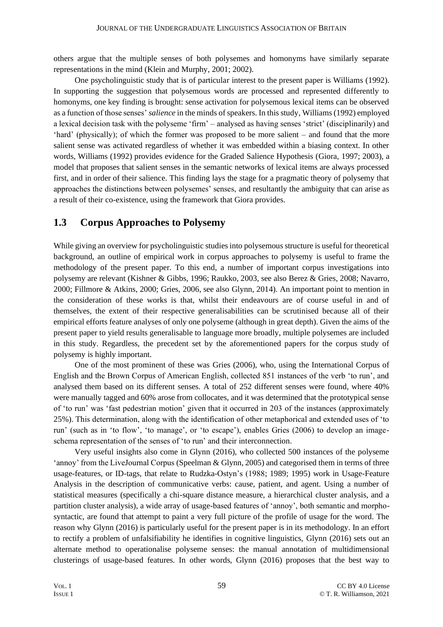others argue that the multiple senses of both polysemes and homonyms have similarly separate representations in the mind (Klein and Murphy, 2001; 2002).

One psycholinguistic study that is of particular interest to the present paper is Williams (1992). In supporting the suggestion that polysemous words are processed and represented differently to homonyms, one key finding is brought: sense activation for polysemous lexical items can be observed as a function of those senses' *salience* in the minds of speakers. In this study, Williams (1992) employed a lexical decision task with the polyseme 'firm' – analysed as having senses 'strict' (disciplinarily) and 'hard' (physically); of which the former was proposed to be more salient – and found that the more salient sense was activated regardless of whether it was embedded within a biasing context. In other words, Williams (1992) provides evidence for the Graded Salience Hypothesis (Giora, 1997; 2003), a model that proposes that salient senses in the semantic networks of lexical items are always processed first, and in order of their salience. This finding lays the stage for a pragmatic theory of polysemy that approaches the distinctions between polysemes' senses, and resultantly the ambiguity that can arise as a result of their co-existence, using the framework that Giora provides.

#### **1.3 Corpus Approaches to Polysemy**

While giving an overview for psycholinguistic studies into polysemous structure is useful for theoretical background, an outline of empirical work in corpus approaches to polysemy is useful to frame the methodology of the present paper. To this end, a number of important corpus investigations into polysemy are relevant (Kishner & Gibbs, 1996; Raukko, 2003, see also Berez & Gries, 2008; Navarro, 2000; Fillmore & Atkins, 2000; Gries, 2006, see also Glynn, 2014). An important point to mention in the consideration of these works is that, whilst their endeavours are of course useful in and of themselves, the extent of their respective generalisabilities can be scrutinised because all of their empirical efforts feature analyses of only one polyseme (although in great depth). Given the aims of the present paper to yield results generalisable to language more broadly, multiple polysemes are included in this study. Regardless, the precedent set by the aforementioned papers for the corpus study of polysemy is highly important.

One of the most prominent of these was Gries (2006), who, using the International Corpus of English and the Brown Corpus of American English, collected 851 instances of the verb 'to run', and analysed them based on its different senses. A total of 252 different senses were found, where 40% were manually tagged and 60% arose from collocates, and it was determined that the prototypical sense of 'to run' was 'fast pedestrian motion' given that it occurred in 203 of the instances (approximately 25%). This determination, along with the identification of other metaphorical and extended uses of 'to run' (such as in 'to flow', 'to manage', or 'to escape'), enables Gries (2006) to develop an imageschema representation of the senses of 'to run' and their interconnection.

Very useful insights also come in Glynn (2016), who collected 500 instances of the polyseme 'annoy' from the LiveJournal Corpus (Speelman & Glynn, 2005) and categorised them in terms of three usage-features, or ID-tags, that relate to Rudzka-Ostyn's (1988; 1989; 1995) work in Usage-Feature Analysis in the description of communicative verbs: cause, patient, and agent. Using a number of statistical measures (specifically a chi-square distance measure, a hierarchical cluster analysis, and a partition cluster analysis), a wide array of usage-based features of 'annoy', both semantic and morphosyntactic, are found that attempt to paint a very full picture of the profile of usage for the word. The reason why Glynn (2016) is particularly useful for the present paper is in its methodology. In an effort to rectify a problem of unfalsifiability he identifies in cognitive linguistics, Glynn (2016) sets out an alternate method to operationalise polyseme senses: the manual annotation of multidimensional clusterings of usage-based features. In other words, Glynn (2016) proposes that the best way to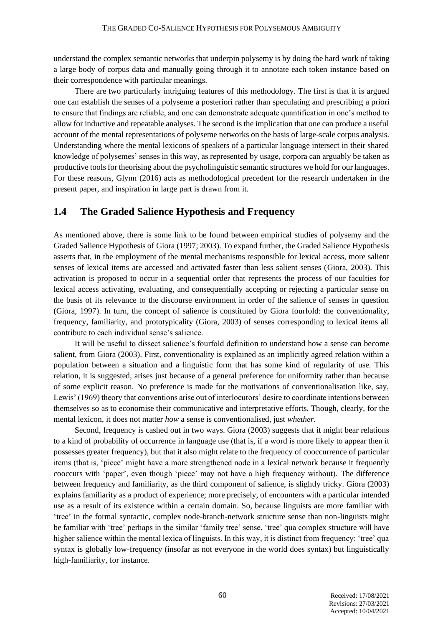understand the complex semantic networks that underpin polysemy is by doing the hard work of taking a large body of corpus data and manually going through it to annotate each token instance based on their correspondence with particular meanings.

There are two particularly intriguing features of this methodology. The first is that it is argued one can establish the senses of a polyseme a posteriori rather than speculating and prescribing a priori to ensure that findings are reliable, and one can demonstrate adequate quantification in one's method to allow for inductive and repeatable analyses. The second is the implication that one can produce a useful account of the mental representations of polyseme networks on the basis of large-scale corpus analysis. Understanding where the mental lexicons of speakers of a particular language intersect in their shared knowledge of polysemes' senses in this way, as represented by usage, corpora can arguably be taken as productive tools for theorising about the psycholinguistic semantic structures we hold for our languages. For these reasons, Glynn (2016) acts as methodological precedent for the research undertaken in the present paper, and inspiration in large part is drawn from it.

#### **1.4 The Graded Salience Hypothesis and Frequency**

As mentioned above, there is some link to be found between empirical studies of polysemy and the Graded Salience Hypothesis of Giora (1997; 2003). To expand further, the Graded Salience Hypothesis asserts that, in the employment of the mental mechanisms responsible for lexical access, more salient senses of lexical items are accessed and activated faster than less salient senses (Giora, 2003). This activation is proposed to occur in a sequential order that represents the process of our faculties for lexical access activating, evaluating, and consequentially accepting or rejecting a particular sense on the basis of its relevance to the discourse environment in order of the salience of senses in question (Giora, 1997). In turn, the concept of salience is constituted by Giora fourfold: the conventionality, frequency, familiarity, and prototypicality (Giora, 2003) of senses corresponding to lexical items all contribute to each individual sense's salience.

It will be useful to dissect salience's fourfold definition to understand how a sense can become salient, from Giora (2003). First, conventionality is explained as an implicitly agreed relation within a population between a situation and a linguistic form that has some kind of regularity of use. This relation, it is suggested, arises just because of a general preference for uniformity rather than because of some explicit reason. No preference is made for the motivations of conventionalisation like, say, Lewis' (1969) theory that conventions arise out of interlocutors' desire to coordinate intentions between themselves so as to economise their communicative and interpretative efforts. Though, clearly, for the mental lexicon, it does not matter *how* a sense is conventionalised, just *whether*.

Second, frequency is cashed out in two ways. Giora (2003) suggests that it might bear relations to a kind of probability of occurrence in language use (that is, if a word is more likely to appear then it possesses greater frequency), but that it also might relate to the frequency of cooccurrence of particular items (that is, 'piece' might have a more strengthened node in a lexical network because it frequently cooccurs with 'paper', even though 'piece' may not have a high frequency without). The difference between frequency and familiarity, as the third component of salience, is slightly tricky. Giora (2003) explains familiarity as a product of experience; more precisely, of encounters with a particular intended use as a result of its existence within a certain domain. So, because linguists are more familiar with 'tree' in the formal syntactic, complex node-branch-network structure sense than non-linguists might be familiar with 'tree' perhaps in the similar 'family tree' sense, 'tree' qua complex structure will have higher salience within the mental lexica of linguists. In this way, it is distinct from frequency: 'tree' qua syntax is globally low-frequency (insofar as not everyone in the world does syntax) but linguistically high-familiarity, for instance.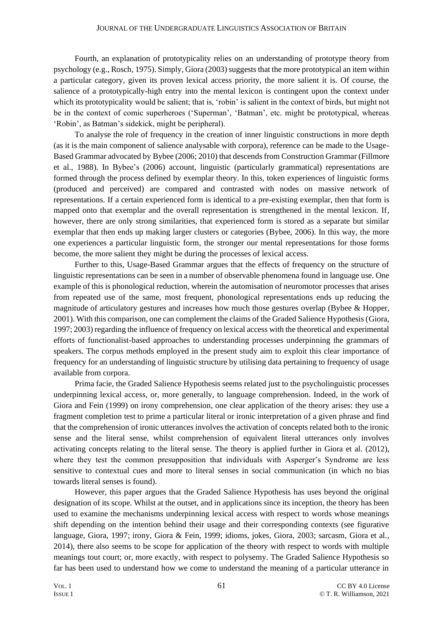Fourth, an explanation of prototypicality relies on an understanding of prototype theory from psychology (e.g., Rosch, 1975). Simply, Giora (2003) suggests that the more prototypical an item within a particular category, given its proven lexical access priority, the more salient it is. Of course, the salience of a prototypically-high entry into the mental lexicon is contingent upon the context under which its prototypicality would be salient; that is, 'robin' is salient in the context of birds, but might not be in the context of comic superheroes ('Superman', 'Batman', etc. might be prototypical, whereas 'Robin', as Batman's sidekick, might be peripheral).

To analyse the role of frequency in the creation of inner linguistic constructions in more depth (as it is the main component of salience analysable with corpora), reference can be made to the Usage-Based Grammar advocated by Bybee (2006; 2010) that descends from Construction Grammar (Fillmore et al., 1988). In Bybee's (2006) account, linguistic (particularly grammatical) representations are formed through the process defined by exemplar theory. In this, token experiences of linguistic forms (produced and perceived) are compared and contrasted with nodes on massive network of representations. If a certain experienced form is identical to a pre-existing exemplar, then that form is mapped onto that exemplar and the overall representation is strengthened in the mental lexicon. If, however, there are only strong similarities, that experienced form is stored as a separate but similar exemplar that then ends up making larger clusters or categories (Bybee, 2006). In this way, the more one experiences a particular linguistic form, the stronger our mental representations for those forms become, the more salient they might be during the processes of lexical access.

Further to this, Usage-Based Grammar argues that the effects of frequency on the structure of linguistic representations can be seen in a number of observable phenomena found in language use. One example of this is phonological reduction, wherein the automisation of neuromotor processes that arises from repeated use of the same, most frequent, phonological representations ends up reducing the magnitude of articulatory gestures and increases how much those gestures overlap (Bybee & Hopper, 2001). With this comparison, one can complement the claims of the Graded Salience Hypothesis (Giora, 1997; 2003) regarding the influence of frequency on lexical access with the theoretical and experimental efforts of functionalist-based approaches to understanding processes underpinning the grammars of speakers. The corpus methods employed in the present study aim to exploit this clear importance of frequency for an understanding of linguistic structure by utilising data pertaining to frequency of usage available from corpora.

Prima facie, the Graded Salience Hypothesis seems related just to the psycholinguistic processes underpinning lexical access, or, more generally, to language comprehension. Indeed, in the work of Giora and Fein (1999) on irony comprehension, one clear application of the theory arises: they use a fragment completion test to prime a particular literal or ironic interpretation of a given phrase and find that the comprehension of ironic utterances involves the activation of concepts related both to the ironic sense and the literal sense, whilst comprehension of equivalent literal utterances only involves activating concepts relating to the literal sense. The theory is applied further in Giora et al. (2012), where they test the common presupposition that individuals with Asperger's Syndrome are less sensitive to contextual cues and more to literal senses in social communication (in which no bias towards literal senses is found).

However, this paper argues that the Graded Salience Hypothesis has uses beyond the original designation of its scope. Whilst at the outset, and in applications since its inception, the theory has been used to examine the mechanisms underpinning lexical access with respect to words whose meanings shift depending on the intention behind their usage and their corresponding contexts (see figurative language, Giora, 1997; irony, Giora & Fein, 1999; idioms, jokes, Giora, 2003; sarcasm, Giora et al., 2014), there also seems to be scope for application of the theory with respect to words with multiple meanings tout court; or, more exactly, with respect to polysemy. The Graded Salience Hypothesis so far has been used to understand how we come to understand the meaning of a particular utterance in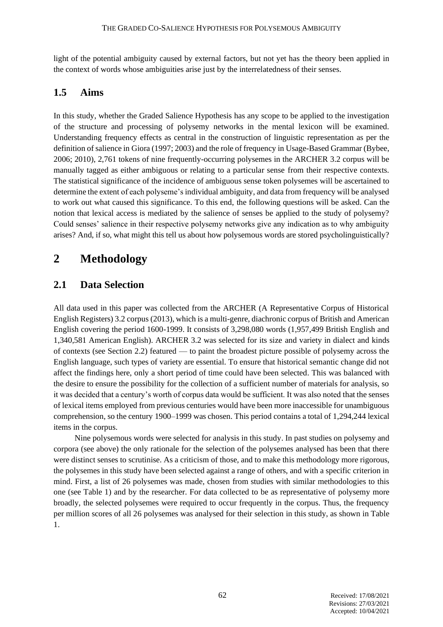light of the potential ambiguity caused by external factors, but not yet has the theory been applied in the context of words whose ambiguities arise just by the interrelatedness of their senses.

#### **1.5 Aims**

In this study, whether the Graded Salience Hypothesis has any scope to be applied to the investigation of the structure and processing of polysemy networks in the mental lexicon will be examined. Understanding frequency effects as central in the construction of linguistic representation as per the definition of salience in Giora (1997; 2003) and the role of frequency in Usage-Based Grammar (Bybee, 2006; 2010), 2,761 tokens of nine frequently-occurring polysemes in the ARCHER 3.2 corpus will be manually tagged as either ambiguous or relating to a particular sense from their respective contexts. The statistical significance of the incidence of ambiguous sense token polysemes will be ascertained to determine the extent of each polyseme's individual ambiguity, and data from frequency will be analysed to work out what caused this significance. To this end, the following questions will be asked. Can the notion that lexical access is mediated by the salience of senses be applied to the study of polysemy? Could senses' salience in their respective polysemy networks give any indication as to why ambiguity arises? And, if so, what might this tell us about how polysemous words are stored psycholinguistically?

## **2 Methodology**

#### **2.1 Data Selection**

All data used in this paper was collected from the ARCHER (A Representative Corpus of Historical English Registers) 3.2 corpus (2013), which is a multi-genre, diachronic corpus of British and American English covering the period 1600-1999. It consists of 3,298,080 words (1,957,499 British English and 1,340,581 American English). ARCHER 3.2 was selected for its size and variety in dialect and kinds of contexts (see Section 2.2) featured — to paint the broadest picture possible of polysemy across the English language, such types of variety are essential. To ensure that historical semantic change did not affect the findings here, only a short period of time could have been selected. This was balanced with the desire to ensure the possibility for the collection of a sufficient number of materials for analysis, so it was decided that a century's worth of corpus data would be sufficient. It was also noted that the senses of lexical items employed from previous centuries would have been more inaccessible for unambiguous comprehension, so the century 1900–1999 was chosen. This period contains a total of 1,294,244 lexical items in the corpus.

Nine polysemous words were selected for analysis in this study. In past studies on polysemy and corpora (see above) the only rationale for the selection of the polysemes analysed has been that there were distinct senses to scrutinise. As a criticism of those, and to make this methodology more rigorous, the polysemes in this study have been selected against a range of others, and with a specific criterion in mind. First, a list of 26 polysemes was made, chosen from studies with similar methodologies to this one (see Table 1) and by the researcher. For data collected to be as representative of polysemy more broadly, the selected polysemes were required to occur frequently in the corpus. Thus, the frequency per million scores of all 26 polysemes was analysed for their selection in this study, as shown in Table 1.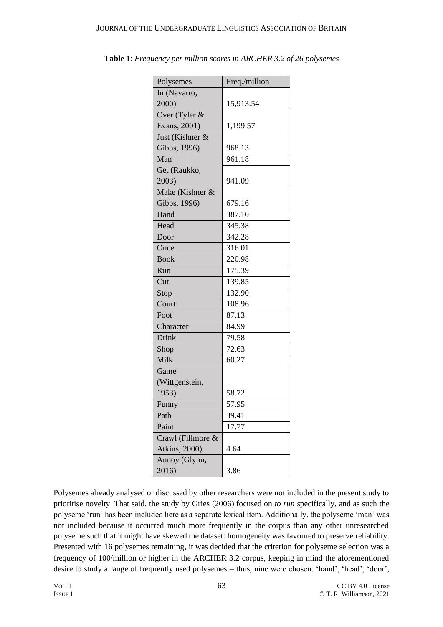| Polysemes             | Freq./million |  |
|-----------------------|---------------|--|
| In (Navarro,          |               |  |
| 2000)                 | 15,913.54     |  |
| Over (Tyler &         |               |  |
| Evans, 2001)          | 1,199.57      |  |
| Just (Kishner &       |               |  |
| Gibbs, 1996)          | 968.13        |  |
| Man                   | 961.18        |  |
| Get (Raukko,          |               |  |
| 2003)                 | 941.09        |  |
| Make (Kishner &       |               |  |
| Gibbs, 1996)          | 679.16        |  |
| Hand                  | 387.10        |  |
| Head                  | 345.38        |  |
| Door                  | 342.28        |  |
| Once                  | 316.01        |  |
| <b>Book</b>           | 220.98        |  |
| Run                   | 175.39        |  |
| Cut                   | 139.85        |  |
| Stop                  | 132.90        |  |
| Court                 | 108.96        |  |
| Foot                  | 87.13         |  |
| Character             | 84.99         |  |
| Drink                 | 79.58         |  |
| Shop                  | 72.63         |  |
| Milk                  | 60.27         |  |
| Game                  |               |  |
| (Wittgenstein,        |               |  |
| 1953)                 | 58.72         |  |
| Funny                 | 57.95         |  |
| Path                  | 39.41         |  |
| Paint                 | 17.77         |  |
| Crawl (Fillmore &     |               |  |
| <b>Atkins</b> , 2000) | 4.64          |  |
| Annoy (Glynn,         |               |  |
| 2016)                 | 3.86          |  |

**Table 1**: *Frequency per million scores in ARCHER 3.2 of 26 polysemes*

Polysemes already analysed or discussed by other researchers were not included in the present study to prioritise novelty. That said, the study by Gries (2006) focused on *to run* specifically, and as such the polyseme 'run' has been included here as a separate lexical item. Additionally, the polyseme 'man' was not included because it occurred much more frequently in the corpus than any other unresearched polyseme such that it might have skewed the dataset: homogeneity was favoured to preserve reliability. Presented with 16 polysemes remaining, it was decided that the criterion for polyseme selection was a frequency of 100/million or higher in the ARCHER 3.2 corpus, keeping in mind the aforementioned desire to study a range of frequently used polysemes – thus, nine were chosen: 'hand', 'head', 'door',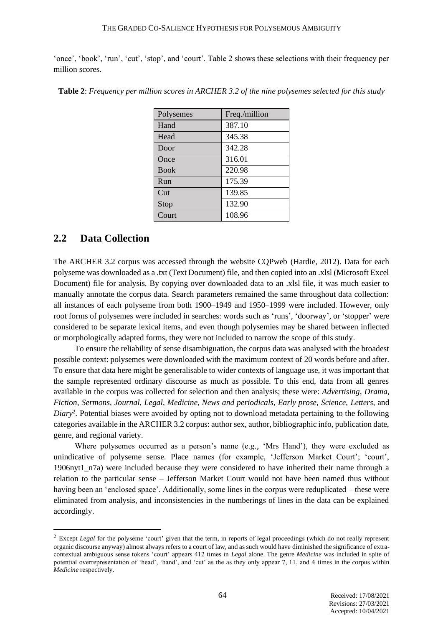'once', 'book', 'run', 'cut', 'stop', and 'court'. Table 2 shows these selections with their frequency per million scores.

| Polysemes   | Freq./million |
|-------------|---------------|
| Hand        | 387.10        |
| Head        | 345.38        |
| Door        | 342.28        |
| Once        | 316.01        |
| <b>Book</b> | 220.98        |
| Run         | 175.39        |
| Cut         | 139.85        |
| Stop        | 132.90        |
| Court       | 108.96        |

**Table 2**: *Frequency per million scores in ARCHER 3.2 of the nine polysemes selected for this study*

#### **2.2 Data Collection**

The ARCHER 3.2 corpus was accessed through the website CQPweb (Hardie, 2012). Data for each polyseme was downloaded as a .txt (Text Document) file, and then copied into an .xlsl (Microsoft Excel Document) file for analysis. By copying over downloaded data to an .xlsl file, it was much easier to manually annotate the corpus data. Search parameters remained the same throughout data collection: all instances of each polyseme from both 1900–1949 and 1950–1999 were included. However, only root forms of polysemes were included in searches: words such as 'runs', 'doorway', or 'stopper' were considered to be separate lexical items, and even though polysemies may be shared between inflected or morphologically adapted forms, they were not included to narrow the scope of this study.

To ensure the reliability of sense disambiguation, the corpus data was analysed with the broadest possible context: polysemes were downloaded with the maximum context of 20 words before and after. To ensure that data here might be generalisable to wider contexts of language use, it was important that the sample represented ordinary discourse as much as possible. To this end, data from all genres available in the corpus was collected for selection and then analysis; these were: *Advertising*, *Drama*, *Fiction*, *Sermons*, *Journal*, *Legal*, *Medicine*, *News and periodicals*, *Early prose*, *Science*, *Letters*, and *Diary*<sup>2</sup> . Potential biases were avoided by opting not to download metadata pertaining to the following categories available in the ARCHER 3.2 corpus: author sex, author, bibliographic info, publication date, genre, and regional variety.

Where polysemes occurred as a person's name (e.g., 'Mrs Hand'), they were excluded as unindicative of polyseme sense. Place names (for example, 'Jefferson Market Court'; 'court', 1906nyt1\_n7a) were included because they were considered to have inherited their name through a relation to the particular sense – Jefferson Market Court would not have been named thus without having been an 'enclosed space'. Additionally, some lines in the corpus were reduplicated – these were eliminated from analysis, and inconsistencies in the numberings of lines in the data can be explained accordingly.

<sup>&</sup>lt;sup>2</sup> Except *Legal* for the polyseme 'court' given that the term, in reports of legal proceedings (which do not really represent organic discourse anyway) almost always refers to a court of law, and as such would have diminished the significance of extracontextual ambiguous sense tokens 'court' appears 412 times in *Legal* alone. The genre *Medicine* was included in spite of potential overrepresentation of 'head', 'hand', and 'cut' as the as they only appear 7, 11, and 4 times in the corpus within *Medicine* respectively.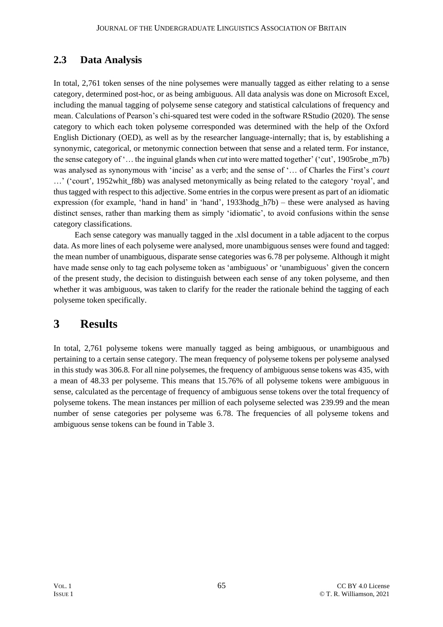#### **2.3 Data Analysis**

In total, 2,761 token senses of the nine polysemes were manually tagged as either relating to a sense category, determined post-hoc, or as being ambiguous. All data analysis was done on Microsoft Excel, including the manual tagging of polyseme sense category and statistical calculations of frequency and mean. Calculations of Pearson's chi-squared test were coded in the software RStudio (2020). The sense category to which each token polyseme corresponded was determined with the help of the Oxford English Dictionary (OED), as well as by the researcher language-internally; that is, by establishing a synonymic, categorical, or metonymic connection between that sense and a related term. For instance, the sense category of '… the inguinal glands when *cut* into were matted together' ('cut', 1905robe\_m7b) was analysed as synonymous with 'incise' as a verb; and the sense of '… of Charles the First's *court* ...' ('court', 1952 whit f8b) was analysed metonymically as being related to the category 'royal', and thus tagged with respect to this adjective. Some entries in the corpus were present as part of an idiomatic expression (for example, 'hand in hand' in 'hand', 1933hodg h7b) – these were analysed as having distinct senses, rather than marking them as simply 'idiomatic', to avoid confusions within the sense category classifications.

Each sense category was manually tagged in the .xlsl document in a table adjacent to the corpus data. As more lines of each polyseme were analysed, more unambiguous senses were found and tagged: the mean number of unambiguous, disparate sense categories was 6.78 per polyseme. Although it might have made sense only to tag each polyseme token as 'ambiguous' or 'unambiguous' given the concern of the present study, the decision to distinguish between each sense of any token polyseme, and then whether it was ambiguous, was taken to clarify for the reader the rationale behind the tagging of each polyseme token specifically.

### **3 Results**

In total, 2,761 polyseme tokens were manually tagged as being ambiguous, or unambiguous and pertaining to a certain sense category. The mean frequency of polyseme tokens per polyseme analysed in this study was 306.8. For all nine polysemes, the frequency of ambiguous sense tokens was 435, with a mean of 48.33 per polyseme. This means that 15.76% of all polyseme tokens were ambiguous in sense, calculated as the percentage of frequency of ambiguous sense tokens over the total frequency of polyseme tokens. The mean instances per million of each polyseme selected was 239.99 and the mean number of sense categories per polyseme was 6.78. The frequencies of all polyseme tokens and ambiguous sense tokens can be found in Table 3.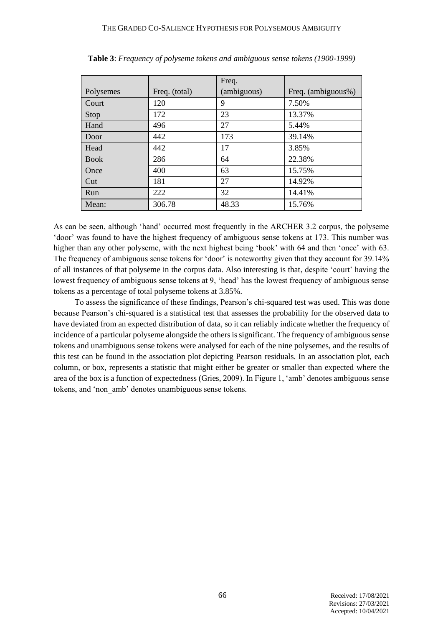|             |               | Freq.       |                    |
|-------------|---------------|-------------|--------------------|
| Polysemes   | Freq. (total) | (ambiguous) | Freq. (ambiguous%) |
| Court       | 120           | 9           | 7.50%              |
| Stop        | 172           | 23          | 13.37%             |
| Hand        | 496           | 27          | 5.44%              |
| Door        | 442           | 173         | 39.14%             |
| Head        | 442           | 17          | 3.85%              |
| <b>Book</b> | 286           | 64          | 22.38%             |
| Once        | 400           | 63          | 15.75%             |
| Cut         | 181           | 27          | 14.92%             |
| Run         | 222           | 32          | 14.41%             |
| Mean:       | 306.78        | 48.33       | 15.76%             |

**Table 3**: *Frequency of polyseme tokens and ambiguous sense tokens (1900-1999)*

As can be seen, although 'hand' occurred most frequently in the ARCHER 3.2 corpus, the polyseme 'door' was found to have the highest frequency of ambiguous sense tokens at 173. This number was higher than any other polyseme, with the next highest being 'book' with 64 and then 'once' with 63. The frequency of ambiguous sense tokens for 'door' is noteworthy given that they account for 39.14% of all instances of that polyseme in the corpus data. Also interesting is that, despite 'court' having the lowest frequency of ambiguous sense tokens at 9, 'head' has the lowest frequency of ambiguous sense tokens as a percentage of total polyseme tokens at 3.85%.

To assess the significance of these findings, Pearson's chi-squared test was used. This was done because Pearson's chi-squared is a statistical test that assesses the probability for the observed data to have deviated from an expected distribution of data, so it can reliably indicate whether the frequency of incidence of a particular polyseme alongside the others is significant. The frequency of ambiguous sense tokens and unambiguous sense tokens were analysed for each of the nine polysemes, and the results of this test can be found in the association plot depicting Pearson residuals. In an association plot, each column, or box, represents a statistic that might either be greater or smaller than expected where the area of the box is a function of expectedness (Gries, 2009). In Figure 1, 'amb' denotes ambiguous sense tokens, and 'non\_amb' denotes unambiguous sense tokens.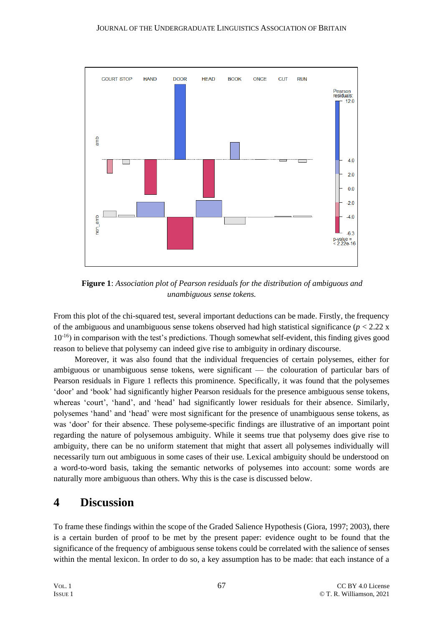

**Figure 1**: *Association plot of Pearson residuals for the distribution of ambiguous and unambiguous sense tokens.*

From this plot of the chi-squared test, several important deductions can be made. Firstly, the frequency of the ambiguous and unambiguous sense tokens observed had high statistical significance  $(p < 2.22 \text{ x})$ 10-16) in comparison with the test's predictions. Though somewhat self-evident, this finding gives good reason to believe that polysemy can indeed give rise to ambiguity in ordinary discourse.

Moreover, it was also found that the individual frequencies of certain polysemes, either for ambiguous or unambiguous sense tokens, were significant — the colouration of particular bars of Pearson residuals in Figure 1 reflects this prominence. Specifically, it was found that the polysemes 'door' and 'book' had significantly higher Pearson residuals for the presence ambiguous sense tokens, whereas 'court', 'hand', and 'head' had significantly lower residuals for their absence. Similarly, polysemes 'hand' and 'head' were most significant for the presence of unambiguous sense tokens, as was 'door' for their absence. These polyseme-specific findings are illustrative of an important point regarding the nature of polysemous ambiguity. While it seems true that polysemy does give rise to ambiguity, there can be no uniform statement that might that assert all polysemes individually will necessarily turn out ambiguous in some cases of their use. Lexical ambiguity should be understood on a word-to-word basis, taking the semantic networks of polysemes into account: some words are naturally more ambiguous than others. Why this is the case is discussed below.

## **4 Discussion**

To frame these findings within the scope of the Graded Salience Hypothesis (Giora, 1997; 2003), there is a certain burden of proof to be met by the present paper: evidence ought to be found that the significance of the frequency of ambiguous sense tokens could be correlated with the salience of senses within the mental lexicon. In order to do so, a key assumption has to be made: that each instance of a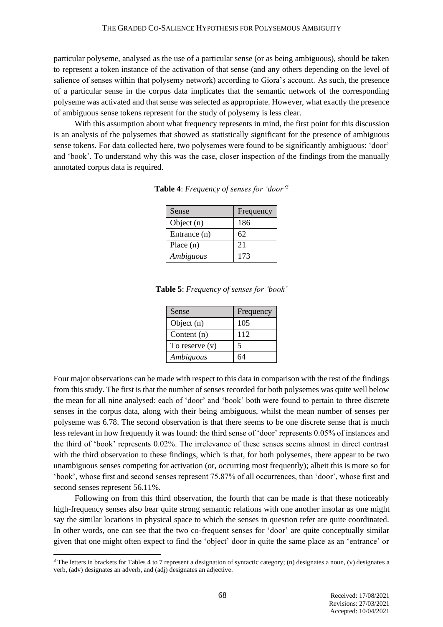particular polyseme, analysed as the use of a particular sense (or as being ambiguous), should be taken to represent a token instance of the activation of that sense (and any others depending on the level of salience of senses within that polysemy network) according to Giora's account. As such, the presence of a particular sense in the corpus data implicates that the semantic network of the corresponding polyseme was activated and that sense was selected as appropriate. However, what exactly the presence of ambiguous sense tokens represent for the study of polysemy is less clear.

With this assumption about what frequency represents in mind, the first point for this discussion is an analysis of the polysemes that showed as statistically significant for the presence of ambiguous sense tokens. For data collected here, two polysemes were found to be significantly ambiguous: 'door' and 'book'. To understand why this was the case, closer inspection of the findings from the manually annotated corpus data is required.

| Sense        | Frequency |
|--------------|-----------|
| Object (n)   | 186       |
| Entrance (n) | 62        |
| Place $(n)$  | 21        |
| Ambiguous    | 173       |

**Table 4**: *Frequency of senses for 'door'<sup>3</sup>*

**Table 5**: *Frequency of senses for 'book'*

| Sense            | Frequency |
|------------------|-----------|
| Object $(n)$     | 105       |
| Content $(n)$    | 112       |
| To reserve $(v)$ | 5         |
| Ambiguous        | 64        |

Four major observations can be made with respect to this data in comparison with the rest of the findings from this study. The first is that the number of senses recorded for both polysemes was quite well below the mean for all nine analysed: each of 'door' and 'book' both were found to pertain to three discrete senses in the corpus data, along with their being ambiguous, whilst the mean number of senses per polyseme was 6.78. The second observation is that there seems to be one discrete sense that is much less relevant in how frequently it was found: the third sense of 'door' represents 0.05% of instances and the third of 'book' represents 0.02%. The irrelevance of these senses seems almost in direct contrast with the third observation to these findings, which is that, for both polysemes, there appear to be two unambiguous senses competing for activation (or, occurring most frequently); albeit this is more so for 'book', whose first and second senses represent 75.87% of all occurrences, than 'door', whose first and second senses represent 56.11%.

Following on from this third observation, the fourth that can be made is that these noticeably high-frequency senses also bear quite strong semantic relations with one another insofar as one might say the similar locations in physical space to which the senses in question refer are quite coordinated. In other words, one can see that the two co-frequent senses for 'door' are quite conceptually similar given that one might often expect to find the 'object' door in quite the same place as an 'entrance' or

<sup>&</sup>lt;sup>3</sup> The letters in brackets for Tables 4 to 7 represent a designation of syntactic category; (n) designates a noun, (v) designates a verb, (adv) designates an adverb, and (adj) designates an adjective.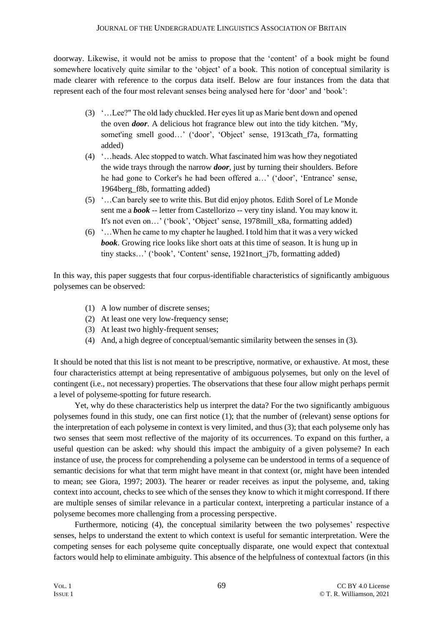doorway. Likewise, it would not be amiss to propose that the 'content' of a book might be found somewhere locatively quite similar to the 'object' of a book. This notion of conceptual similarity is made clearer with reference to the corpus data itself. Below are four instances from the data that represent each of the four most relevant senses being analysed here for 'door' and 'book':

- (3) '…Lee?" The old lady chuckled. Her eyes lit up as Marie bent down and opened the oven *door*. A delicious hot fragrance blew out into the tidy kitchen. "My, somet'ing smell good...' ('door', 'Object' sense, 1913cath f7a, formatting added)
- (4) '…heads. Alec stopped to watch. What fascinated him was how they negotiated the wide trays through the narrow *door*, just by turning their shoulders. Before he had gone to Corker's he had been offered a…' ('door', 'Entrance' sense, 1964berg\_f8b, formatting added)
- (5) '…Can barely see to write this. But did enjoy photos. Edith Sorel of Le Monde sent me a *book* -- letter from Castellorizo -- very tiny island. You may know it. It's not even on…' ('book', 'Object' sense, 1978mill\_x8a, formatting added)
- (6) '…When he came to my chapter he laughed. I told him that it was a very wicked *book*. Growing rice looks like short oats at this time of season. It is hung up in tiny stacks…' ('book', 'Content' sense, 1921nort\_j7b, formatting added)

In this way, this paper suggests that four corpus-identifiable characteristics of significantly ambiguous polysemes can be observed:

- (1) A low number of discrete senses;
- (2) At least one very low-frequency sense;
- (3) At least two highly-frequent senses;
- (4) And, a high degree of conceptual/semantic similarity between the senses in (3).

It should be noted that this list is not meant to be prescriptive, normative, or exhaustive. At most, these four characteristics attempt at being representative of ambiguous polysemes, but only on the level of contingent (i.e., not necessary) properties. The observations that these four allow might perhaps permit a level of polyseme-spotting for future research.

Yet, why do these characteristics help us interpret the data? For the two significantly ambiguous polysemes found in this study, one can first notice (1); that the number of (relevant) sense options for the interpretation of each polyseme in context is very limited, and thus (3); that each polyseme only has two senses that seem most reflective of the majority of its occurrences. To expand on this further, a useful question can be asked: why should this impact the ambiguity of a given polyseme? In each instance of use, the process for comprehending a polyseme can be understood in terms of a sequence of semantic decisions for what that term might have meant in that context (or, might have been intended to mean; see Giora, 1997; 2003). The hearer or reader receives as input the polyseme, and, taking context into account, checks to see which of the senses they know to which it might correspond. If there are multiple senses of similar relevance in a particular context, interpreting a particular instance of a polyseme becomes more challenging from a processing perspective.

Furthermore, noticing (4), the conceptual similarity between the two polysemes' respective senses, helps to understand the extent to which context is useful for semantic interpretation. Were the competing senses for each polyseme quite conceptually disparate, one would expect that contextual factors would help to eliminate ambiguity. This absence of the helpfulness of contextual factors (in this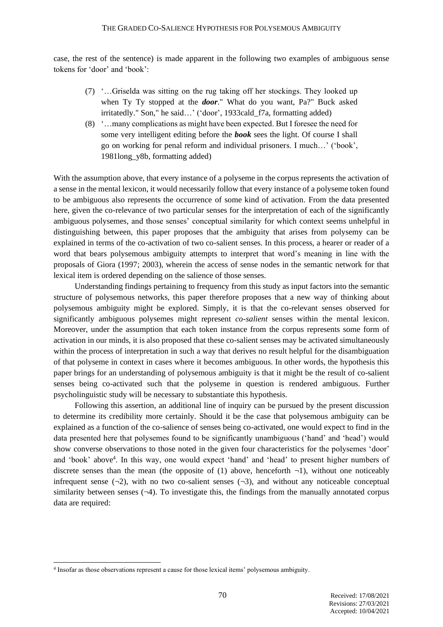case, the rest of the sentence) is made apparent in the following two examples of ambiguous sense tokens for 'door' and 'book':

- (7) '…Griselda was sitting on the rug taking off her stockings. They looked up when Ty Ty stopped at the *door*." What do you want, Pa?" Buck asked irritatedly." Son," he said…' ('door', 1933cald\_f7a, formatting added)
- (8) '…many complications as might have been expected. But I foresee the need for some very intelligent editing before the *book* sees the light. Of course I shall go on working for penal reform and individual prisoners. I much…' ('book', 1981long\_y8b, formatting added)

With the assumption above, that every instance of a polyseme in the corpus represents the activation of a sense in the mental lexicon, it would necessarily follow that every instance of a polyseme token found to be ambiguous also represents the occurrence of some kind of activation. From the data presented here, given the co-relevance of two particular senses for the interpretation of each of the significantly ambiguous polysemes, and those senses' conceptual similarity for which context seems unhelpful in distinguishing between, this paper proposes that the ambiguity that arises from polysemy can be explained in terms of the co-activation of two co-salient senses. In this process, a hearer or reader of a word that bears polysemous ambiguity attempts to interpret that word's meaning in line with the proposals of Giora (1997; 2003), wherein the access of sense nodes in the semantic network for that lexical item is ordered depending on the salience of those senses.

Understanding findings pertaining to frequency from this study as input factors into the semantic structure of polysemous networks, this paper therefore proposes that a new way of thinking about polysemous ambiguity might be explored. Simply, it is that the co-relevant senses observed for significantly ambiguous polysemes might represent *co-salient* senses within the mental lexicon. Moreover, under the assumption that each token instance from the corpus represents some form of activation in our minds, it is also proposed that these co-salient senses may be activated simultaneously within the process of interpretation in such a way that derives no result helpful for the disambiguation of that polyseme in context in cases where it becomes ambiguous. In other words, the hypothesis this paper brings for an understanding of polysemous ambiguity is that it might be the result of co-salient senses being co-activated such that the polyseme in question is rendered ambiguous. Further psycholinguistic study will be necessary to substantiate this hypothesis.

Following this assertion, an additional line of inquiry can be pursued by the present discussion to determine its credibility more certainly. Should it be the case that polysemous ambiguity can be explained as a function of the co-salience of senses being co-activated, one would expect to find in the data presented here that polysemes found to be significantly unambiguous ('hand' and 'head') would show converse observations to those noted in the given four characteristics for the polysemes 'door' and 'book' above<sup>4</sup>. In this way, one would expect 'hand' and 'head' to present higher numbers of discrete senses than the mean (the opposite of (1) above, henceforth  $\neg$ 1), without one noticeably infrequent sense  $(\neg 2)$ , with no two co-salient senses  $(\neg 3)$ , and without any noticeable conceptual similarity between senses  $(\neg 4)$ . To investigate this, the findings from the manually annotated corpus data are required:

<sup>4</sup> Insofar as those observations represent a cause for those lexical items' polysemous ambiguity.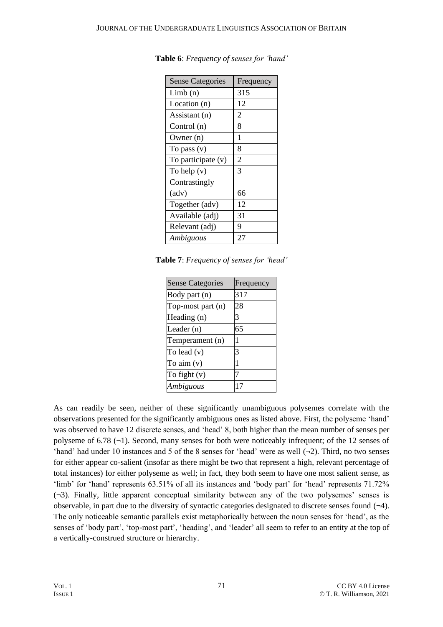| <b>Sense Categories</b> | Frequency      |
|-------------------------|----------------|
| Limb(n)                 | 315            |
| Location (n)            | 12             |
| Assistant (n)           | $\overline{2}$ |
| Control (n)             | 8              |
| Owner (n)               | 1              |
| To pass $(v)$           | 8              |
| To participate (v)      | $\overline{2}$ |
| To help (v)             | 3              |
| Contrastingly           |                |
| (adv)                   | 66             |
| Together (adv)          | 12             |
| Available (adj)         | 31             |
| Relevant (adj)          | 9              |
| Ambiguous               | 27             |

**Table 6**: *Frequency of senses for 'hand'*

**Table 7**: *Frequency of senses for 'head'*

| <b>Sense Categories</b> | Frequency |
|-------------------------|-----------|
| Body part (n)           | 317       |
| Top-most part (n)       | 28        |
| Heading (n)             |           |
| Leader (n)              | 65        |
| Temperament (n)         |           |
| To lead $(v)$           | 3         |
| To aim (v)              | 1         |
| To fight (v)            |           |
| Ambiguous               | 17        |

As can readily be seen, neither of these significantly unambiguous polysemes correlate with the observations presented for the significantly ambiguous ones as listed above. First, the polyseme 'hand' was observed to have 12 discrete senses, and 'head' 8, both higher than the mean number of senses per polyseme of 6.78  $(\neg 1)$ . Second, many senses for both were noticeably infrequent; of the 12 senses of 'hand' had under 10 instances and 5 of the 8 senses for 'head' were as well (¬2). Third, no two senses for either appear co-salient (insofar as there might be two that represent a high, relevant percentage of total instances) for either polyseme as well; in fact, they both seem to have one most salient sense, as 'limb' for 'hand' represents 63.51% of all its instances and 'body part' for 'head' represents 71.72%  $(\neg 3)$ . Finally, little apparent conceptual similarity between any of the two polysemes' senses is observable, in part due to the diversity of syntactic categories designated to discrete senses found  $(\neg 4)$ . The only noticeable semantic parallels exist metaphorically between the noun senses for 'head', as the senses of 'body part', 'top-most part', 'heading', and 'leader' all seem to refer to an entity at the top of a vertically-construed structure or hierarchy.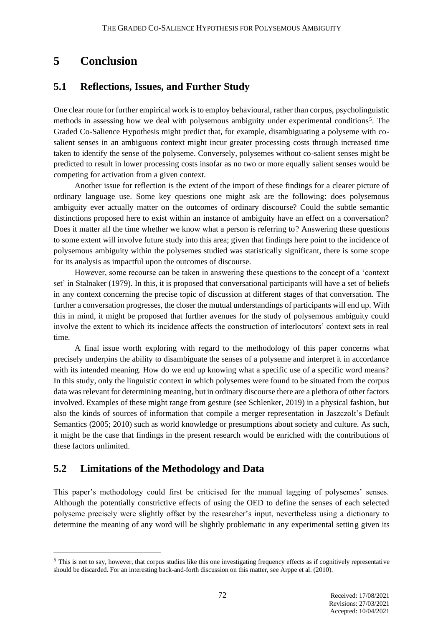## **5 Conclusion**

#### **5.1 Reflections, Issues, and Further Study**

One clear route for further empirical work is to employ behavioural, rather than corpus, psycholinguistic methods in assessing how we deal with polysemous ambiguity under experimental conditions<sup>5</sup>. The Graded Co-Salience Hypothesis might predict that, for example, disambiguating a polyseme with cosalient senses in an ambiguous context might incur greater processing costs through increased time taken to identify the sense of the polyseme. Conversely, polysemes without co-salient senses might be predicted to result in lower processing costs insofar as no two or more equally salient senses would be competing for activation from a given context.

Another issue for reflection is the extent of the import of these findings for a clearer picture of ordinary language use. Some key questions one might ask are the following: does polysemous ambiguity ever actually matter on the outcomes of ordinary discourse? Could the subtle semantic distinctions proposed here to exist within an instance of ambiguity have an effect on a conversation? Does it matter all the time whether we know what a person is referring to? Answering these questions to some extent will involve future study into this area; given that findings here point to the incidence of polysemous ambiguity within the polysemes studied was statistically significant, there is some scope for its analysis as impactful upon the outcomes of discourse.

However, some recourse can be taken in answering these questions to the concept of a 'context set' in Stalnaker (1979). In this, it is proposed that conversational participants will have a set of beliefs in any context concerning the precise topic of discussion at different stages of that conversation. The further a conversation progresses, the closer the mutual understandings of participants will end up. With this in mind, it might be proposed that further avenues for the study of polysemous ambiguity could involve the extent to which its incidence affects the construction of interlocutors' context sets in real time.

A final issue worth exploring with regard to the methodology of this paper concerns what precisely underpins the ability to disambiguate the senses of a polyseme and interpret it in accordance with its intended meaning. How do we end up knowing what a specific use of a specific word means? In this study, only the linguistic context in which polysemes were found to be situated from the corpus data was relevant for determining meaning, but in ordinary discourse there are a plethora of other factors involved. Examples of these might range from gesture (see Schlenker, 2019) in a physical fashion, but also the kinds of sources of information that compile a merger representation in Jaszczolt's Default Semantics (2005; 2010) such as world knowledge or presumptions about society and culture. As such, it might be the case that findings in the present research would be enriched with the contributions of these factors unlimited.

#### **5.2 Limitations of the Methodology and Data**

This paper's methodology could first be criticised for the manual tagging of polysemes' senses. Although the potentially constrictive effects of using the OED to define the senses of each selected polyseme precisely were slightly offset by the researcher's input, nevertheless using a dictionary to determine the meaning of any word will be slightly problematic in any experimental setting given its

<sup>&</sup>lt;sup>5</sup> This is not to say, however, that corpus studies like this one investigating frequency effects as if cognitively representative should be discarded. For an interesting back-and-forth discussion on this matter, see Arppe et al. (2010).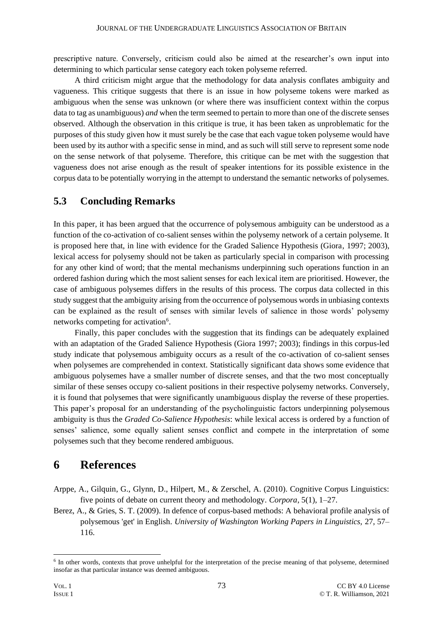prescriptive nature. Conversely, criticism could also be aimed at the researcher's own input into determining to which particular sense category each token polyseme referred.

A third criticism might argue that the methodology for data analysis conflates ambiguity and vagueness. This critique suggests that there is an issue in how polyseme tokens were marked as ambiguous when the sense was unknown (or where there was insufficient context within the corpus data to tag as unambiguous) *and* when the term seemed to pertain to more than one of the discrete senses observed. Although the observation in this critique is true, it has been taken as unproblematic for the purposes of this study given how it must surely be the case that each vague token polyseme would have been used by its author with a specific sense in mind, and as such will still serve to represent some node on the sense network of that polyseme. Therefore, this critique can be met with the suggestion that vagueness does not arise enough as the result of speaker intentions for its possible existence in the corpus data to be potentially worrying in the attempt to understand the semantic networks of polysemes.

#### **5.3 Concluding Remarks**

In this paper, it has been argued that the occurrence of polysemous ambiguity can be understood as a function of the co-activation of co-salient senses within the polysemy network of a certain polyseme. It is proposed here that, in line with evidence for the Graded Salience Hypothesis (Giora, 1997; 2003), lexical access for polysemy should not be taken as particularly special in comparison with processing for any other kind of word; that the mental mechanisms underpinning such operations function in an ordered fashion during which the most salient senses for each lexical item are prioritised. However, the case of ambiguous polysemes differs in the results of this process. The corpus data collected in this study suggest that the ambiguity arising from the occurrence of polysemous words in unbiasing contexts can be explained as the result of senses with similar levels of salience in those words' polysemy networks competing for activation<sup>6</sup>.

Finally, this paper concludes with the suggestion that its findings can be adequately explained with an adaptation of the Graded Salience Hypothesis (Giora 1997; 2003); findings in this corpus-led study indicate that polysemous ambiguity occurs as a result of the co-activation of co-salient senses when polysemes are comprehended in context. Statistically significant data shows some evidence that ambiguous polysemes have a smaller number of discrete senses, and that the two most conceptually similar of these senses occupy co-salient positions in their respective polysemy networks. Conversely, it is found that polysemes that were significantly unambiguous display the reverse of these properties. This paper's proposal for an understanding of the psycholinguistic factors underpinning polysemous ambiguity is thus the *Graded Co-Salience Hypothesis*: while lexical access is ordered by a function of senses' salience, some equally salient senses conflict and compete in the interpretation of some polysemes such that they become rendered ambiguous.

#### **6 References**

- Arppe, A., Gilquin, G., Glynn, D., Hilpert, M., & Zerschel, A. (2010). Cognitive Corpus Linguistics: five points of debate on current theory and methodology. *Corpora*, 5(1), 1–27.
- Berez, A., & Gries, S. T. (2009). In defence of corpus-based methods: A behavioral profile analysis of polysemous 'get' in English. *University of Washington Working Papers in Linguistics,* 27, 57– 116.

<sup>&</sup>lt;sup>6</sup> In other words, contexts that prove unhelpful for the interpretation of the precise meaning of that polyseme, determined insofar as that particular instance was deemed ambiguous.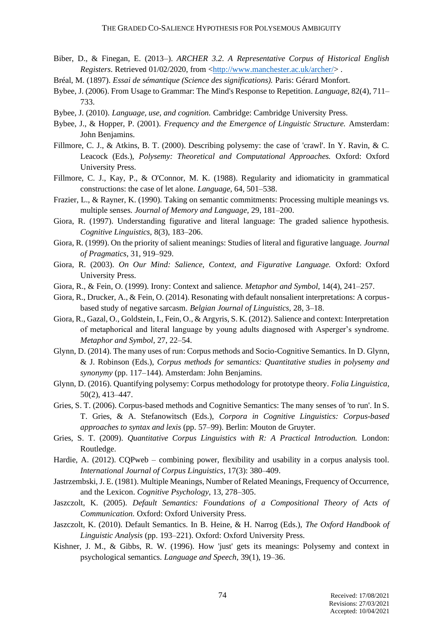- Biber, D., & Finegan, E. (2013–). *ARCHER 3.2. A Representative Corpus of Historical English Registers*. Retrieved 01/02/2020, from [<http://www.manchester.ac.uk/archer/>](http://www.manchester.ac.uk/archer/).
- Bréal, M. (1897). *Essai de sémantique (Science des significations).* Paris: Gérard Monfort.
- Bybee, J. (2006). From Usage to Grammar: The Mind's Response to Repetition. *Language,* 82(4), 711– 733.
- Bybee, J. (2010). *Language, use, and cognition.* Cambridge: Cambridge University Press.
- Bybee, J., & Hopper, P. (2001). *Frequency and the Emergence of Linguistic Structure.* Amsterdam: John Benjamins.
- Fillmore, C. J., & Atkins, B. T. (2000). Describing polysemy: the case of 'crawl'. In Y. Ravin, & C. Leacock (Eds.), *Polysemy: Theoretical and Computational Approaches.* Oxford: Oxford University Press.
- Fillmore, C. J., Kay, P., & O'Connor, M. K. (1988). Regularity and idiomaticity in grammatical constructions: the case of let alone. *Language,* 64, 501–538.
- Frazier, L., & Rayner, K. (1990). Taking on semantic commitments: Processing multiple meanings vs. multiple senses. *Journal of Memory and Language,* 29, 181–200.
- Giora, R. (1997). Understanding figurative and literal language: The graded salience hypothesis. *Cognitive Linguistics,* 8(3), 183–206.
- Giora, R. (1999). On the priority of salient meanings: Studies of literal and figurative language. *Journal of Pragmatics*, 31, 919–929.
- Giora, R. (2003). *On Our Mind: Salience, Context, and Figurative Language.* Oxford: Oxford University Press.
- Giora, R., & Fein, O. (1999). Irony: Context and salience. *Metaphor and Symbol,* 14(4), 241–257.
- Giora, R., Drucker, A., & Fein, O. (2014). Resonating with default nonsalient interpretations: A corpusbased study of negative sarcasm. *Belgian Journal of Linguistics,* 28, 3–18.
- Giora, R., Gazal, O., Goldstein, I., Fein, O., & Argyris, S. K. (2012). Salience and context: Interpretation of metaphorical and literal language by young adults diagnosed with Asperger's syndrome. *Metaphor and Symbol,* 27, 22–54.
- Glynn, D. (2014). The many uses of run: Corpus methods and Socio-Cognitive Semantics. In D. Glynn, & J. Robinson (Eds.), *Corpus methods for semantics: Quantitative studies in polysemy and synonymy* (pp. 117–144). Amsterdam: John Benjamins.
- Glynn, D. (2016). Quantifying polysemy: Corpus methodology for prototype theory. *Folia Linguistica,*  50(2), 413–447.
- Gries, S. T. (2006). Corpus-based methods and Cognitive Semantics: The many senses of 'to run'. In S. T. Gries, & A. Stefanowitsch (Eds.), *Corpora in Cognitive Linguistics: Corpus-based approaches to syntax and lexis* (pp. 57–99). Berlin: Mouton de Gruyter.
- Gries, S. T. (2009). *Quantitative Corpus Linguistics with R: A Practical Introduction.* London: Routledge.
- Hardie, A. (2012). CQPweb combining power, flexibility and usability in a corpus analysis tool. *International Journal of Corpus Linguistics*, 17(3): 380–409.
- Jastrzembski, J. E. (1981). Multiple Meanings, Number of Related Meanings, Frequency of Occurrence, and the Lexicon. *Cognitive Psychology*, 13, 278–305.
- Jaszczolt, K. (2005). *Default Semantics: Foundations of a Compositional Theory of Acts of Communication.* Oxford: Oxford University Press.
- Jaszczolt, K. (2010). Default Semantics. In B. Heine, & H. Narrog (Eds.), *The Oxford Handbook of Linguistic Analysis* (pp. 193–221). Oxford: Oxford University Press.
- Kishner, J. M., & Gibbs, R. W. (1996). How 'just' gets its meanings: Polysemy and context in psychological semantics. *Language and Speech,* 39(1), 19–36.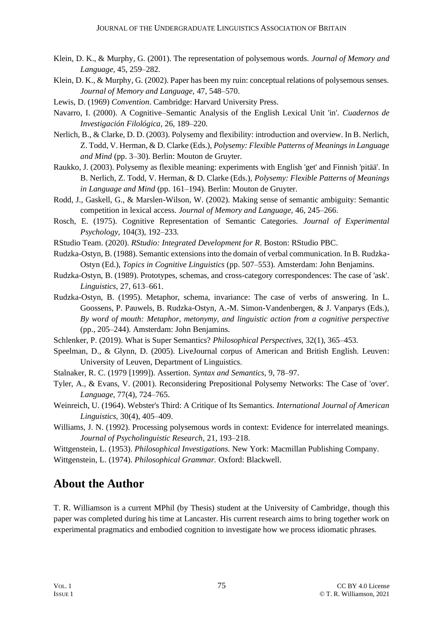- Klein, D. K., & Murphy, G. (2001). The representation of polysemous words. *Journal of Memory and Language,* 45, 259–282.
- Klein, D. K., & Murphy, G. (2002). Paper has been my ruin: conceptual relations of polysemous senses. *Journal of Memory and Language,* 47, 548–570.
- Lewis, D. (1969) *Convention*. Cambridge: Harvard University Press.
- Navarro, I. (2000). A Cognitive–Semantic Analysis of the English Lexical Unit 'in'. *Cuadernos de Investigación Filológica,* 26, 189–220.
- Nerlich, B., & Clarke, D. D. (2003). Polysemy and flexibility: introduction and overview. In B. Nerlich, Z. Todd, V. Herman, & D. Clarke (Eds.), *Polysemy: Flexible Patterns of Meanings in Language and Mind* (pp. 3–30). Berlin: Mouton de Gruyter.
- Raukko, J. (2003). Polysemy as flexible meaning: experiments with English 'get' and Finnish 'pitää'. In B. Nerlich, Z. Todd, V. Herman, & D. Clarke (Eds.), *Polysemy: Flexible Patterns of Meanings in Language and Mind* (pp. 161–194). Berlin: Mouton de Gruyter.
- Rodd, J., Gaskell, G., & Marslen-Wilson, W. (2002). Making sense of semantic ambiguity: Semantic competition in lexical access. *Journal of Memory and Language,* 46, 245–266.
- Rosch, E. (1975). Cognitive Representation of Semantic Categories. *Journal of Experimental Psychology,* 104(3), 192–233.
- RStudio Team. (2020). *RStudio: Integrated Development for R*. Boston: RStudio PBC.
- Rudzka-Ostyn, B. (1988). Semantic extensions into the domain of verbal communication. In B. Rudzka-Ostyn (Ed.), *Topics in Cognitive Linguistics* (pp. 507–553). Amsterdam: John Benjamins.
- Rudzka-Ostyn, B. (1989). Prototypes, schemas, and cross-category correspondences: The case of 'ask'. *Linguistics,* 27, 613–661.
- Rudzka-Ostyn, B. (1995). Metaphor, schema, invariance: The case of verbs of answering. In L. Goossens, P. Pauwels, B. Rudzka-Ostyn, A.-M. Simon-Vandenbergen, & J. Vanparys (Eds.), *By word of mouth: Metaphor, metonymy, and linguistic action from a cognitive perspective* (pp., 205–244). Amsterdam: John Benjamins.
- Schlenker, P. (2019). What is Super Semantics? *Philosophical Perspectives,* 32(1), 365–453.
- Speelman, D., & Glynn, D. (2005). LiveJournal corpus of American and British English. Leuven: University of Leuven, Department of Linguistics.
- Stalnaker, R. C. (1979 [1999]). Assertion. *Syntax and Semantics,* 9, 78–97.
- Tyler, A., & Evans, V. (2001). Reconsidering Prepositional Polysemy Networks: The Case of 'over'. *Language,* 77(4), 724–765.
- Weinreich, U. (1964). Webster's Third: A Critique of Its Semantics. *International Journal of American Linguistics,* 30(4), 405–409.
- Williams, J. N. (1992). Processing polysemous words in context: Evidence for interrelated meanings. *Journal of Psycholinguistic Research,* 21, 193–218.

Wittgenstein, L. (1953). *Philosophical Investigations.* New York: Macmillan Publishing Company. Wittgenstein, L. (1974). *Philosophical Grammar.* Oxford: Blackwell.

## **About the Author**

T. R. Williamson is a current MPhil (by Thesis) student at the University of Cambridge, though this paper was completed during his time at Lancaster. His current research aims to bring together work on experimental pragmatics and embodied cognition to investigate how we process idiomatic phrases.